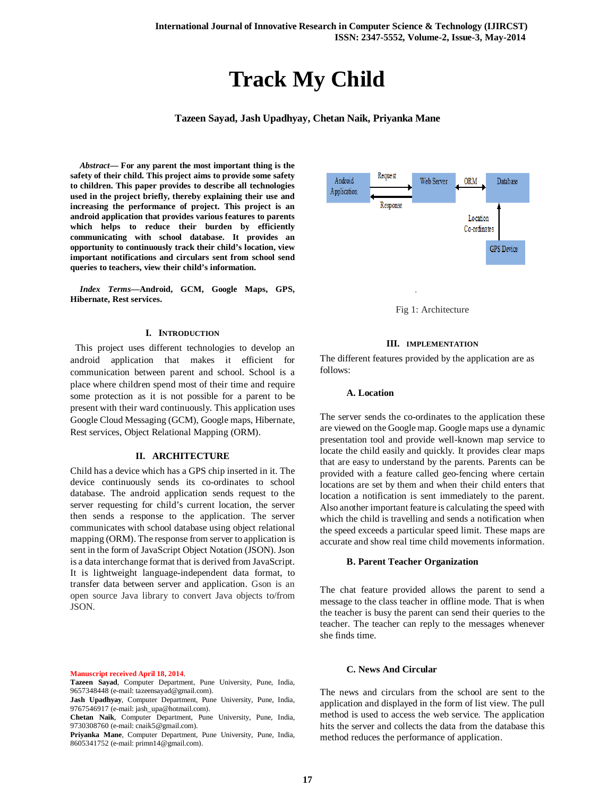# **Track My Child**

**Tazeen Sayad, Jash Upadhyay, Chetan Naik, Priyanka Mane**

*Abstract***— For any parent the most important thing is the safety of their child. This project aims to provide some safety to children. This paper provides to describe all technologies used in the project briefly, thereby explaining their use and increasing the performance of project. This project is an android application that provides various features to parents which helps to reduce their burden by efficiently communicating with school database. It provides an opportunity to continuously track their child's location, view important notifications and circulars sent from school send queries to teachers, view their child's information.**

*Index Terms***—Android, GCM, Google Maps, GPS, Hibernate, Rest services.** 

## **I. INTRODUCTION**

 This project uses different technologies to develop an android application that makes it efficient for communication between parent and school. School is a place where children spend most of their time and require some protection as it is not possible for a parent to be present with their ward continuously. This application uses Google Cloud Messaging (GCM), Google maps, Hibernate, Rest services, Object Relational Mapping (ORM).

#### **II. ARCHITECTURE**

Child has a device which has a GPS chip inserted in it. The device continuously sends its co-ordinates to school database. The android application sends request to the server requesting for child's current location, the server then sends a response to the application. The server communicates with school database using object relational mapping (ORM). The response from server to application is sent in the form of JavaScript Object Notation (JSON). Json is a data interchange format that is derived from JavaScript. It is lightweight language-independent data format, to transfer data between server and application. Gson is an open source Java library to convert Java objects to/from JSON.

**Manuscript received April 18, 2014**.

**Tazeen Sayad**, Computer Department, Pune University, Pune, India, 9657348448 (e-mail: tazeensayad@gmail.com).

**Jash Upadhyay**, Computer Department, Pune University, Pune, India, 9767546917 (e-mail: jash\_upa@hotmail.com).



Fig 1: Architecture

# **III. IMPLEMENTATION**

The different features provided by the application are as follows:

#### **A. Location**

The server sends the co-ordinates to the application these are viewed on the Google map. Google maps use a dynamic presentation tool and provide well-known map service to locate the child easily and quickly. It provides clear maps that are easy to understand by the parents. Parents can be provided with a feature called geo-fencing where certain locations are set by them and when their child enters that location a notification is sent immediately to the parent. Also another important feature is calculating the speed with which the child is travelling and sends a notification when the speed exceeds a particular speed limit. These maps are accurate and show real time child movements information.

#### **B. Parent Teacher Organization**

The chat feature provided allows the parent to send a message to the class teacher in offline mode. That is when the teacher is busy the parent can send their queries to the teacher. The teacher can reply to the messages whenever she finds time.

# **C. News And Circular**

The news and circulars from the school are sent to the application and displayed in the form of list view. The pull method is used to access the web service. The application hits the server and collects the data from the database this method reduces the performance of application.

**Chetan Naik**, Computer Department, Pune University, Pune, India, 9730308760 (e-mail: cnaik5@gmail.com).

**Priyanka Mane**, Computer Department, Pune University, Pune, India, 8605341752 (e-mail: primn14@gmail.com).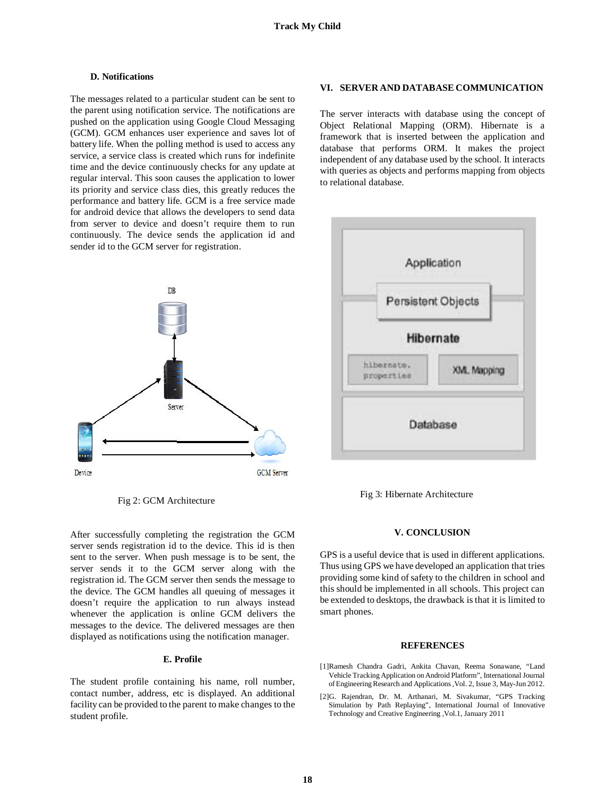#### **D. Notifications**

The messages related to a particular student can be sent to the parent using notification service. The notifications are pushed on the application using Google Cloud Messaging (GCM). GCM enhances user experience and saves lot of battery life. When the polling method is used to access any service, a service class is created which runs for indefinite time and the device continuously checks for any update at regular interval. This soon causes the application to lower its priority and service class dies, this greatly reduces the performance and battery life. GCM is a free service made for android device that allows the developers to send data from server to device and doesn't require them to run continuously. The device sends the application id and sender id to the GCM server for registration.



Fig 2: GCM Architecture

After successfully completing the registration the GCM server sends registration id to the device. This id is then sent to the server. When push message is to be sent, the server sends it to the GCM server along with the registration id. The GCM server then sends the message to the device. The GCM handles all queuing of messages it doesn't require the application to run always instead whenever the application is online GCM delivers the messages to the device. The delivered messages are then displayed as notifications using the notification manager.

## **E. Profile**

The student profile containing his name, roll number, contact number, address, etc is displayed. An additional facility can be provided to the parent to make changes to the student profile.

## **VI. SERVER AND DATABASE COMMUNICATION**

The server interacts with database using the concept of Object Relational Mapping (ORM). Hibernate is a framework that is inserted between the application and database that performs ORM. It makes the project independent of any database used by the school. It interacts with queries as objects and performs mapping from objects to relational database.



Fig 3: Hibernate Architecture

## **V. CONCLUSION**

GPS is a useful device that is used in different applications. Thus using GPS we have developed an application that tries providing some kind of safety to the children in school and this should be implemented in all schools. This project can be extended to desktops, the drawback is that it is limited to smart phones.

## **REFERENCES**

- [1]Ramesh Chandra Gadri, Ankita Chavan, Reema Sonawane, "Land Vehicle Tracking Application on Android Platform", International Journal of Engineering Research and Applications ,Vol. 2, Issue 3, May-Jun 2012.
- [2]G. Rajendran, Dr. M. Arthanari, M. Sivakumar, "GPS Tracking Simulation by Path Replaying", International Journal of Innovative Technology and Creative Engineering ,Vol.1, January 2011